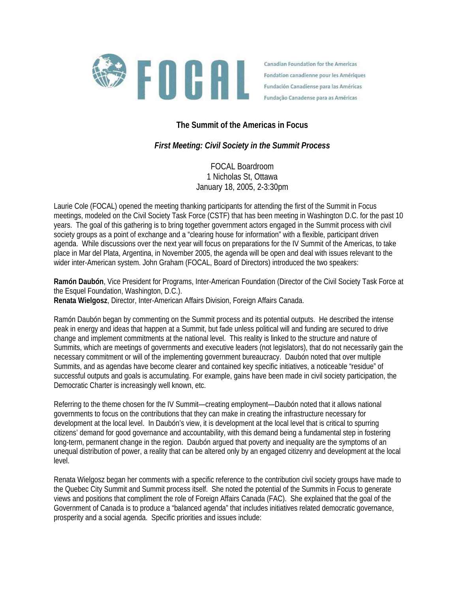

Canadian Foundation for the Americas Fondation canadienne pour les Amériques Fundación Canadiense para las Américas Fundação Canadense para as Américas

## **The Summit of the Americas in Focus**

## *First Meeting: Civil Society in the Summit Process*

FOCAL Boardroom 1 Nicholas St, Ottawa January 18, 2005, 2-3:30pm

Laurie Cole (FOCAL) opened the meeting thanking participants for attending the first of the Summit in Focus meetings, modeled on the Civil Society Task Force (CSTF) that has been meeting in Washington D.C. for the past 10 years. The goal of this gathering is to bring together government actors engaged in the Summit process with civil society groups as a point of exchange and a "clearing house for information" with a flexible, participant driven agenda. While discussions over the next year will focus on preparations for the IV Summit of the Americas, to take place in Mar del Plata, Argentina, in November 2005, the agenda will be open and deal with issues relevant to the wider inter-American system. John Graham (FOCAL, Board of Directors) introduced the two speakers:

**Ramón Daubón**, Vice President for Programs, Inter-American Foundation (Director of the Civil Society Task Force at the Esquel Foundation, Washington, D.C.).

**Renata Wielgosz**, Director, Inter-American Affairs Division, Foreign Affairs Canada.

Ramón Daubón began by commenting on the Summit process and its potential outputs. He described the intense peak in energy and ideas that happen at a Summit, but fade unless political will and funding are secured to drive change and implement commitments at the national level. This reality is linked to the structure and nature of Summits, which are meetings of governments and executive leaders (not legislators), that do not necessarily gain the necessary commitment or will of the implementing government bureaucracy. Daubón noted that over multiple Summits, and as agendas have become clearer and contained key specific initiatives, a noticeable "residue" of successful outputs and goals is accumulating. For example, gains have been made in civil society participation, the Democratic Charter is increasingly well known, etc.

Referring to the theme chosen for the IV Summit—creating employment—Daubón noted that it allows national governments to focus on the contributions that they can make in creating the infrastructure necessary for development at the local level. In Daubón's view, it is development at the local level that is critical to spurring citizens' demand for good governance and accountability, with this demand being a fundamental step in fostering long-term, permanent change in the region. Daubón argued that poverty and inequality are the symptoms of an unequal distribution of power, a reality that can be altered only by an engaged citizenry and development at the local level.

Renata Wielgosz began her comments with a specific reference to the contribution civil society groups have made to the Quebec City Summit and Summit process itself. She noted the potential of the Summits in Focus to generate views and positions that compliment the role of Foreign Affairs Canada (FAC). She explained that the goal of the Government of Canada is to produce a "balanced agenda" that includes initiatives related democratic governance, prosperity and a social agenda. Specific priorities and issues include: